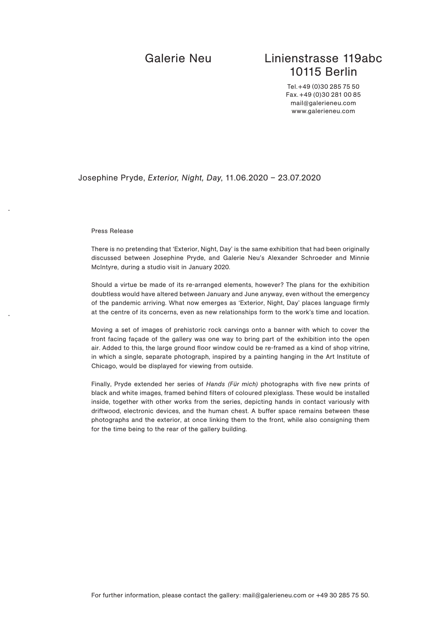# Galerie Neu Linienstrasse 119abc 10115 Berlin

Tel.+49 (0)30 285 75 50 Fax.+49 (0)30 281 00 85 mail@galerieneu.com www.galerieneu.com

## Josephine Pryde, *Exterior, Night, Day*, 11.06.2020 – 23.07.2020

### Press Release

There is no pretending that 'Exterior, Night, Day' is the same exhibition that had been originally discussed between Josephine Pryde, and Galerie Neu's Alexander Schroeder and Minnie McIntyre, during a studio visit in January 2020.

Should a virtue be made of its re-arranged elements, however? The plans for the exhibition doubtless would have altered between January and June anyway, even without the emergency of the pandemic arriving. What now emerges as 'Exterior, Night, Day' places language firmly at the centre of its concerns, even as new relationships form to the work's time and location.

Moving a set of images of prehistoric rock carvings onto a banner with which to cover the front facing façade of the gallery was one way to bring part of the exhibition into the open air. Added to this, the large ground floor window could be re-framed as a kind of shop vitrine, in which a single, separate photograph, inspired by a painting hanging in the Art Institute of Chicago, would be displayed for viewing from outside.

Finally, Pryde extended her series of *Hands (Für mich)* photographs with five new prints of black and white images, framed behind filters of coloured plexiglass. These would be installed inside, together with other works from the series, depicting hands in contact variously with driftwood, electronic devices, and the human chest. A buffer space remains between these photographs and the exterior, at once linking them to the front, while also consigning them for the time being to the rear of the gallery building.